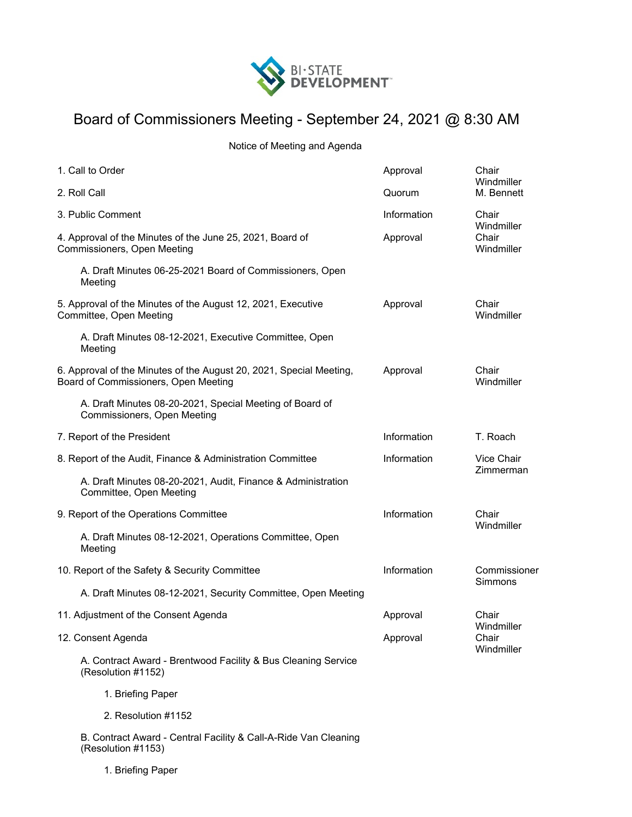

## Board of Commissioners Meeting - September 24, 2021 @ 8:30 AM

Notice of Meeting and Agenda

| 1. Call to Order                                                                                            |                                                                                         | Approval    | Chair<br>Windmiller                        |
|-------------------------------------------------------------------------------------------------------------|-----------------------------------------------------------------------------------------|-------------|--------------------------------------------|
|                                                                                                             | 2. Roll Call                                                                            | Quorum      | M. Bennett                                 |
| 3. Public Comment                                                                                           |                                                                                         | Information | Chair<br>Windmiller<br>Chair<br>Windmiller |
| 4. Approval of the Minutes of the June 25, 2021, Board of<br>Commissioners, Open Meeting                    |                                                                                         | Approval    |                                            |
|                                                                                                             | A. Draft Minutes 06-25-2021 Board of Commissioners, Open<br>Meeting                     |             |                                            |
| 5. Approval of the Minutes of the August 12, 2021, Executive<br>Committee, Open Meeting                     |                                                                                         | Approval    | Chair<br>Windmiller                        |
|                                                                                                             | A. Draft Minutes 08-12-2021, Executive Committee, Open<br>Meeting                       |             |                                            |
| 6. Approval of the Minutes of the August 20, 2021, Special Meeting,<br>Board of Commissioners, Open Meeting |                                                                                         | Approval    | Chair<br>Windmiller                        |
|                                                                                                             | A. Draft Minutes 08-20-2021, Special Meeting of Board of<br>Commissioners, Open Meeting |             |                                            |
| 7. Report of the President                                                                                  |                                                                                         | Information | T. Roach                                   |
| 8. Report of the Audit, Finance & Administration Committee                                                  |                                                                                         | Information | Vice Chair<br>Zimmerman                    |
|                                                                                                             | A. Draft Minutes 08-20-2021, Audit, Finance & Administration<br>Committee, Open Meeting |             |                                            |
| 9. Report of the Operations Committee                                                                       |                                                                                         | Information | Chair                                      |
|                                                                                                             | A. Draft Minutes 08-12-2021, Operations Committee, Open<br>Meeting                      |             | Windmiller                                 |
|                                                                                                             | 10. Report of the Safety & Security Committee                                           | Information | Commissioner<br>Simmons                    |
|                                                                                                             | A. Draft Minutes 08-12-2021, Security Committee, Open Meeting                           |             |                                            |
| 11. Adjustment of the Consent Agenda                                                                        |                                                                                         | Approval    | Chair<br>Windmiller                        |
|                                                                                                             | 12. Consent Agenda                                                                      | Approval    | Chair<br>Windmiller                        |
|                                                                                                             | A. Contract Award - Brentwood Facility & Bus Cleaning Service<br>(Resolution #1152)     |             |                                            |
|                                                                                                             | 1. Briefing Paper                                                                       |             |                                            |
|                                                                                                             | 2. Resolution #1152                                                                     |             |                                            |
|                                                                                                             |                                                                                         |             |                                            |

B. Contract Award - Central Facility & Call-A-Ride Van Cleaning (Resolution #1153)

1. Briefing Paper